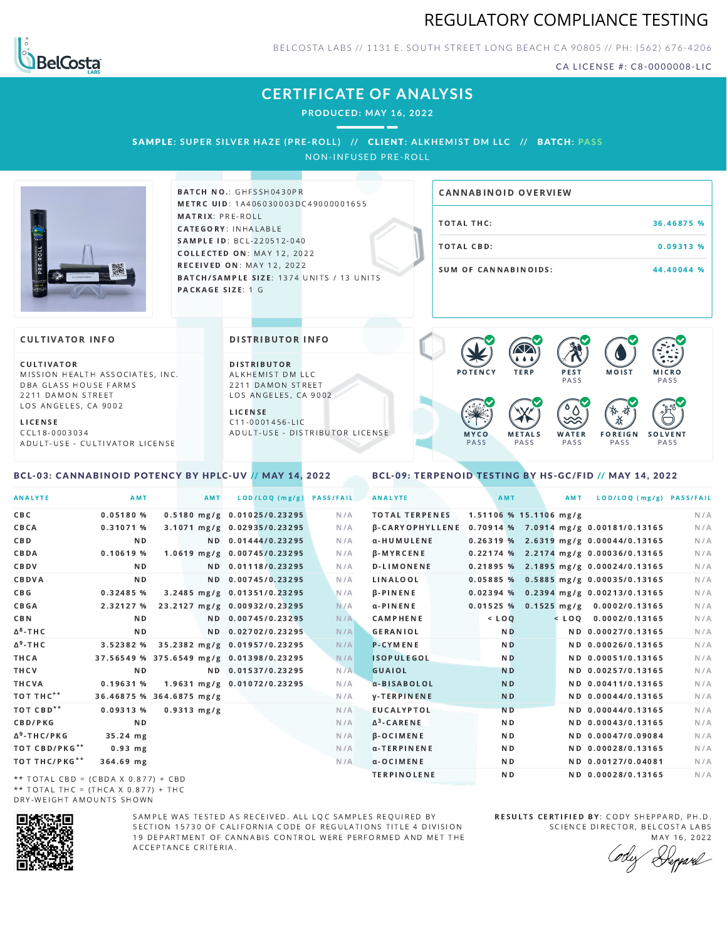



BELCOSTA LABS // 1131 E. SOUTH STREET LONG BEACH C A 90805 // PH: (562) 676-4206

CA LICENSE #: C8-0000008-LIC

# **CERTIFICATE OF ANALYSIS**

**PRODUCED: MAY 16, 2022**

SAMPLE: SUPER SILVER HAZE (PRE-ROLL) // CLIENT: ALKHEMIST DM LLC // BATCH: PASS

NON-INFUSED PRE-ROLL



BATCH NO.: GHFSSH0430PR METRC UID: 1A406030003DC49000001655 MATRIX: PRE-ROLL CATEGORY: INHALABLE SAMPLE ID: BCL-220512-040 COLLECTED ON: MAY 12, 2022 **RECEIVED ON: MAY 12, 2022** BATCH/SAMPLE SIZE: 1374 UNITS / 13 UNITS PACKAGE SIZE: 1 G

# TOTAL THC: 36.46875 % TOTAL CBD: 0.09313 % SUM OF CANNABINOIDS: 44.40044 % CANNABINOID OVERVIEW

### **CULTIVATOR INFO**

CULTIVATOR MISSION HEALTH ASSOCIATES, INC. DBA GLASS HOUSE FARMS 2211 DAMON STREET LOS ANGELES, CA 9002

L I C E N S E C C L 1 8 - 0 0 0 3 0 3 4 A D U L T - U S E - C U L T I V A T O R L I CENSE

<span id="page-0-0"></span>BCL-03: CANNABINOID POTENCY BY HPLC-UV // MAY 14, 2022

DISTRIBUTOR INFO

D I STRIBUTOR ALKHEMIST DM LLC 2211 DAMON STREET LOS ANGELES, CA 9002 L I C E N S E

C 1 1 - 0 0 0 1 4 5 6 - L I C A D U L T - U S E - D I STRIBUTOR LICENSE



<span id="page-0-1"></span>BCL-09: TERPENOID TESTING BY HS-GC/FID // MAY 14, 2022

| <b>ANALYTE</b>                      | AMT                                      | AMT                   | LOD/LOQ (mg/g)                         | <b>PASS/FAIL</b> | <b>ANALYTE</b>        |                          | AMT            | AMT | LOD/LOQ (mg/g) PASS/FAIL                              |     |
|-------------------------------------|------------------------------------------|-----------------------|----------------------------------------|------------------|-----------------------|--------------------------|----------------|-----|-------------------------------------------------------|-----|
| CBC                                 | 0.05180%                                 |                       | $0.5180$ mg/g $0.01025/0.23295$        | N/A              | <b>TOTAL TERPENES</b> | $1.51106$ % 15.1106 mg/g |                |     |                                                       | N/A |
| CBCA                                | 0.31071 %                                |                       | 3.1071 mg/g 0.02935/0.23295            | N/A              |                       |                          |                |     | β-CARYOPHYLLENE 0.70914 % 7.0914 mg/g 0.00181/0.13165 | N/A |
| C B D                               | N <sub>D</sub>                           |                       | ND 0.01444/0.23295                     | N/A              | α-HUMULENE            |                          |                |     | $0.26319$ % 2.6319 mg/g 0.00044/0.13165               | N/A |
| CBDA                                | $0.10619$ %                              |                       | 1.0619 mg/g 0.00745/0.23295            | N/A              | <b>B-MYRCENE</b>      |                          |                |     | 0.22174 % 2.2174 mg/g 0.00036/0.13165                 | N/A |
| CBDV                                | ND.                                      |                       | ND 0.01118/0.23295                     | N/A              | <b>D-LIMONENE</b>     |                          |                |     | $0.21895\%$ 2.1895 mg/g 0.00024/0.13165               | N/A |
| CBDVA                               | N <sub>D</sub>                           |                       | ND 0.00745/0.23295                     | N/A              | LINALOOL              |                          |                |     | 0.05885 % 0.5885 mg/g 0.00035/0.13165                 | N/A |
| C B G                               | 0.32485%                                 |                       | 3.2485 mg/g 0.01351/0.23295            | N/A              | $\beta$ -PINENE       |                          |                |     | 0.02394 % 0.2394 mg/g 0.00213/0.13165                 | N/A |
| CBGA                                | 2.32127 %                                |                       | 23.2127 mg/g 0.00932/0.23295           | N/A              | $\alpha$ -PINENE      |                          |                |     | 0.01525 % 0.1525 mg/g 0.0002/0.13165                  | N/A |
| C B N                               | N <sub>D</sub>                           |                       | ND 0.00745/0.23295                     | N/A              | <b>CAMPHENE</b>       | $<$ $LOO$                |                |     | $<$ LOQ 0.0002/0.13165                                | N/A |
| ∆ <sup>8</sup> -ТНС                 | N D                                      |                       | ND 0.02702/0.23295                     | N/A              | GERANIOL              |                          | N <sub>D</sub> |     | ND 0.00027/0.13165                                    | N/A |
| Δ <sup>9</sup> -ΤΗ C                |                                          |                       | 3.52382 % 35.2382 mg/g 0.01957/0.23295 | N/A              | <b>P-CYMENE</b>       |                          | N <sub>D</sub> |     | ND 0.00026/0.13165                                    | N/A |
| THCA                                | 37.56549 % 375.6549 mg/g 0.01398/0.23295 |                       |                                        | N/A              | <b>ISOPULEGOL</b>     |                          | N <sub>D</sub> |     | ND 0.00051/0.13165                                    | N/A |
| THCV                                | N <sub>D</sub>                           |                       | ND 0.01537/0.23295                     | N/A              | <b>GUAIOL</b>         |                          | <b>ND</b>      |     | ND 0.00257/0.13165                                    | N/A |
| THCVA                               | 0.19631%                                 |                       | 1.9631 mg/g 0.01072/0.23295            | N/A              | a-BISABOLOL           |                          | <b>ND</b>      |     | ND 0.00411/0.13165                                    | N/A |
| тот тнс**                           | 36.46875 % 364.6875 mg/g                 |                       |                                        | N/A              | <b>y-TERPINENE</b>    |                          | <b>ND</b>      |     | ND 0.00044/0.13165                                    | N/A |
| тот свр**                           | $0.09313$ %                              | $0.9313 \text{ mg/g}$ |                                        | N/A              | <b>EUCALYPTOL</b>     |                          | <b>ND</b>      |     | ND 0.00044/0.13165                                    | N/A |
| <b>CBD/PKG</b>                      | N D                                      |                       |                                        | N/A              | $\Delta^3$ -CARENE    |                          | ND.            |     | ND 0.00043/0.13165                                    | N/A |
| Δ <sup>9</sup> -THC/PKG             | 35.24 mg                                 |                       |                                        | N/A              | $\beta$ -OCIMENE      |                          | N <sub>D</sub> |     | ND 0.00047/0.09084                                    | N/A |
| ТОТ СВD/РКG**                       | $0.93$ mg                                |                       |                                        | N/A              | α-TERPINENE           |                          | N <sub>D</sub> |     | ND 0.00028/0.13165                                    | N/A |
| ТОТ ТНС/РКG**                       | 364.69 mg                                |                       |                                        | N/A              | a-OCIMENE             |                          | ND.            |     | ND 0.00127/0.04081                                    | N/A |
| ** IOIAL CRD - (CRDA V 0 077) L CRD |                                          |                       |                                        |                  | <b>TERPINOLENE</b>    |                          | N <sub>D</sub> |     | ND 0.00028/0.13165                                    | N/A |

\*\* TOTAL CBD = (CBDA X 0.877) + CBD \*\* TOTAL THC =  $(THCA \times 0.877) + THC$ DRY-WEIGHT AMOUNTS SHOWN



SAMPLE WAS TESTED AS RECEIVED. ALL LOC SAMPLES REQUIRED BY SECTION 15730 OF CALIFORNIA CODE OF REGULATIONS TITLE 4 DIVISION 19 DEPARTMENT OF CANNABIS CONTROL WERE PERFORMED AND MET THE A C C E P T A N C E C R I T E R I A.

RESULTS CERTIFIED BY: CODY SHEPPARD, PH.D. SCIENCE DIRECTOR, BELCOSTA LABS

MAY 16, 2022 Heppard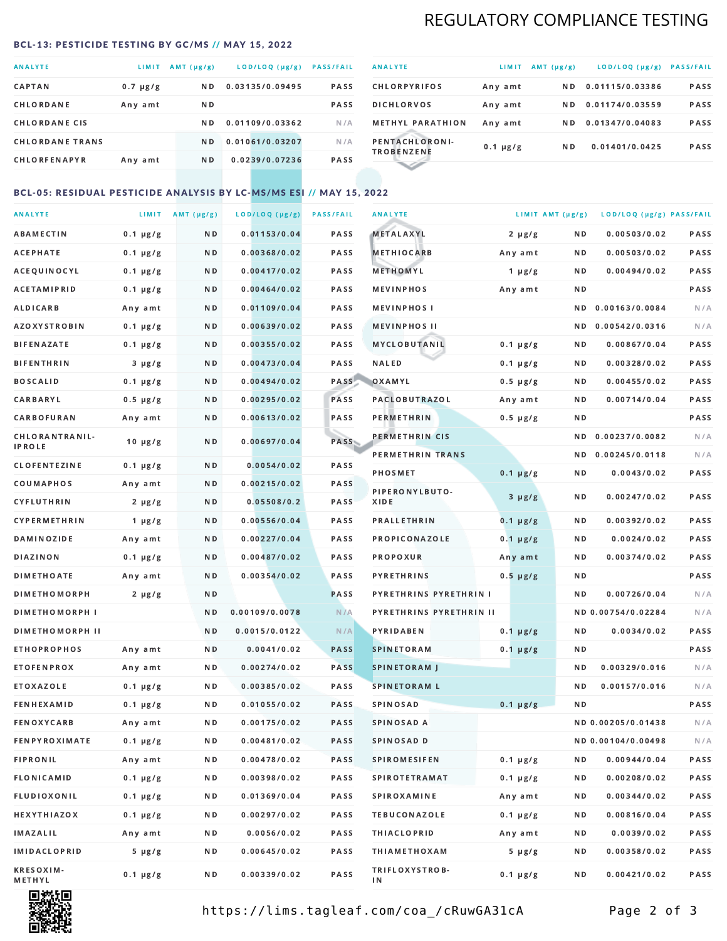# REGULATORY COMPLIANCE TESTING

#### <span id="page-1-0"></span>BCL-13: PESTICIDE TESTING BY GC/MS // MAY 15, 2022

| <b>ANALYTE</b>         | <b>LIMIT</b>  | AMT (µg/g)     | LOD/LOQ (µg/g)  | <b>PASS/FAIL</b> |
|------------------------|---------------|----------------|-----------------|------------------|
| <b>CAPTAN</b>          | $0.7 \mu g/g$ | N <sub>D</sub> | 0.03135/0.09495 | <b>PASS</b>      |
| CHLORDANE              | Any amt       | N D            |                 | <b>PASS</b>      |
| <b>CHLORDANE CIS</b>   |               | ND.            | 0.01109/0.03362 | N/A              |
| <b>CHLORDANE TRANS</b> |               | N <sub>D</sub> | 0.01061/0.03207 | N/A              |
| <b>CHLORFENAPYR</b>    | Any amt       | N D            | 0.0239/0.07236  | <b>PASS</b>      |

| <b>ANALYTE</b>                      | LIMIT         | $AMT(\mu g/g)$ | LOD/LOQ (µg/g)  | <b>PASS/FAIL</b> |
|-------------------------------------|---------------|----------------|-----------------|------------------|
| <b>CHLORPYRIFOS</b>                 | Any amt       | N D            | 0.01115/0.03386 | <b>PASS</b>      |
| <b>DICHLORVOS</b>                   | Any amt       | N D            | 0.01174/0.03559 | <b>PASS</b>      |
| <b>METHYL PARATHION</b>             | Any amt       | ND.            | 0.01347/0.04083 | <b>PASS</b>      |
| PENTACHLORONI-<br><b>TROBENZENE</b> | $0.1 \mu g/g$ | ND.            | 0.01401/0.0425  | <b>PASS</b>      |
|                                     |               |                |                 |                  |

## BCL-05: RESIDUAL PESTICIDE ANALYSIS BY LC-MS/MS ESI // MAY 15, 2022

| <b>ANALYTE</b>             |               | LIMIT AMT $(\mu g/g)$ | LOD/LOQ (µg/g) | <b>PASS/FAIL</b> | <b>ANALYTE</b>          |               | LIMIT AMT (µg/g) | LOD/LOQ (µg/g) PASS/FAIL |      |
|----------------------------|---------------|-----------------------|----------------|------------------|-------------------------|---------------|------------------|--------------------------|------|
| ABAMECTIN                  | $0.1 \mu g/g$ | N D                   | 0.01153/0.04   | PASS             | <b>METALAXYL</b>        | $2 \mu g/g$   | N D              | 0.00503/0.02             | PASS |
| <b>ACEPHATE</b>            | $0.1 \mu g/g$ | N D                   | 0.00368/0.02   | PASS             | <b>METHIOCARB</b>       | Any amt       | N D              | 0.00503/0.02             | PASS |
| ACEQUINOCYL                | $0.1 \mu g/g$ | N D                   | 0.00417/0.02   | PASS             | METHOMYL                | 1 $\mu$ g/g   | N D              | 0.00494/0.02             | PASS |
| ACETAMIPRID                | $0.1 \mu g/g$ | N D                   | 0.00464/0.02   | PASS             | <b>MEVINPHOS</b>        | Any amt       | N D              |                          | PASS |
| <b>ALDICARB</b>            | Any amt       | N D                   | 0.01109/0.04   | PASS             | <b>MEVINPHOSI</b>       |               | N D              | 0.00163/0.0084           | N/A  |
| <b>AZOXYSTROBIN</b>        | $0.1 \mu g/g$ | N D                   | 0.00639/0.02   | PASS             | <b>MEVINPHOS II</b>     |               | N D              | 0.00542/0.0316           | N/A  |
| <b>BIFENAZATE</b>          | $0.1 \mu g/g$ | N D                   | 0.00355/0.02   | PASS             | <b>MYCLOBUTANIL</b>     | $0.1 \mu g/g$ | N D              | 0.00867/0.04             | PASS |
| <b>BIFENTHRIN</b>          | $3 \mu g/g$   | N D                   | 0.00473/0.04   | PASS             | <b>NALED</b>            | $0.1 \mu g/g$ | N D              | 0.00328/0.02             | PASS |
| <b>BOSCALID</b>            | $0.1 \mu g/g$ | N D                   | 0.00494/0.02   | PASS             | OXAMYL                  | $0.5 \mu g/g$ | N D              | 0.00455/0.02             | PASS |
| <b>CARBARYL</b>            | $0.5 \mu g/g$ | N D                   | 0.00295/0.02   | PASS             | <b>PACLOBUTRAZOL</b>    | Any amt       | N D              | 0.00714/0.04             | PASS |
| CARBOFURAN                 | Any amt       | N D                   | 0.00613/0.02   | PASS             | PERMETHRIN              | $0.5 \mu g/g$ | N D              |                          | PASS |
| CHLORANTRANIL-             | $10 \mu g/g$  | N D                   | 0.00697/0.04   | PASS             | PERMETHRIN CIS          |               | ND.              | 0.00237/0.0082           | N/A  |
| <b>IPROLE</b>              |               |                       |                |                  | PERMETHRIN TRANS        |               |                  | ND 0.00245/0.0118        | N/A  |
| <b>CLOFENTEZINE</b>        | $0.1 \mu g/g$ | ND.                   | 0.0054/0.02    | PASS             | <b>PHOSMET</b>          | $0.1 \mu g/g$ | N D              | 0.0043/0.02              | PASS |
| COUMAPHOS                  | Any amt       | N D                   | 0.00215/0.02   | <b>PASS</b>      | PIPERONYLBUTO-          | $3 \mu g/g$   | N D              | 0.00247/0.02             | PASS |
| CYFLUTHRIN                 | $2 \mu g/g$   | N D                   | 0.05508/0.2    | <b>PASS</b>      | XIDE                    |               |                  |                          |      |
| <b>CYPERMETHRIN</b>        | $1 \mu g/g$   | N D                   | 0.00556/0.04   | PASS             | <b>PRALLETHRIN</b>      | $0.1 \mu g/g$ | N D              | 0.00392/0.02             | PASS |
| <b>DAMINOZIDE</b>          | Any amt       | N D                   | 0.00227/0.04   | PASS             | PROPICONAZOLE           | $0.1 \mu g/g$ | N D              | 0.0024/0.02              | PASS |
| DIAZINON                   | $0.1 \mu g/g$ | N D                   | 0.00487/0.02   | <b>PASS</b>      | <b>PROPOXUR</b>         | Any amt       | N D              | 0.00374/0.02             | PASS |
| <b>DIMETHOATE</b>          | Any amt       | N D                   | 0.00354/0.02   | PASS             | <b>PYRETHRINS</b>       | $0.5 \mu g/g$ | N D              |                          | PASS |
| <b>DIMETHOMORPH</b>        | $2 \mu g/g$   | N D                   |                | PASS             | PYRETHRINS PYRETHRIN I  |               | ND.              | 0.00726/0.04             | N/A  |
| <b>DIMETHOMORPH I</b>      |               | N D                   | 0.00109/0.0078 | N/A              | PYRETHRINS PYRETHRIN II |               |                  | ND 0.00754/0.02284       | N/A  |
| <b>DIMETHOMORPH II</b>     |               | N D                   | 0.0015/0.0122  | N/A              | <b>PYRIDABEN</b>        | $0.1 \mu g/g$ | N D              | 0.0034/0.02              | PASS |
| <b>ETHOPROPHOS</b>         | Any amt       | N D                   | 0.0041/0.02    | <b>PASS</b>      | <b>SPINETORAM</b>       | $0.1 \mu g/g$ | N D              |                          | PASS |
| <b>ETOFENPROX</b>          | Any amt       | ND.                   | 0.00274/0.02   | <b>PASS</b>      | <b>SPINETORAM J</b>     |               | N D              | 0.00329/0.016            | N/A  |
| ETOXAZOLE                  | $0.1 \mu g/g$ | N D                   | 0.00385/0.02   | PASS             | <b>SPINETORAM L</b>     |               | N D              | 0.00157/0.016            | N/A  |
| <b>FENHEXAMID</b>          | $0.1 \mu g/g$ | N D                   | 0.01055/0.02   | PASS             | <b>SPINOSAD</b>         | $0.1 \mu g/g$ | N D              |                          | PASS |
| <b>FENOXYCARB</b>          | Any amt       | N D                   | 0.00175/0.02   | <b>PASS</b>      | SPINOSAD A              |               |                  | ND 0.00205/0.01438       | N/A  |
| <b>FENPYROXIMATE</b>       | $0.1 \mu g/g$ | N D                   | 0.00481/0.02   | PASS             | SPINOSAD D              |               |                  | ND 0.00104/0.00498       | N/A  |
| <b>FIPRONIL</b>            | Any amt       | N D                   | 0.00478/0.02   | PASS             | <b>SPIROMESIFEN</b>     | $0.1 \mu g/g$ | N D              | 0.00944/0.04             | PASS |
| FLONICAMID                 | $0.1 \mu g/g$ | N D                   | 0.00398/0.02   | PASS             | SPIROTETRAMAT           | $0.1 \mu g/g$ | N D              | 0.00208/0.02             | PASS |
| FLUDIOXONIL                | $0.1 \mu g/g$ | N D                   | 0.01369/0.04   | PASS             | <b>SPIROXAMINE</b>      | Any amt       | N D              | 0.00344/0.02             | PASS |
| HEXYTHIAZOX                | $0.1 \mu g/g$ | N D                   | 0.00297/0.02   | PASS             | <b>TEBUCONAZOLE</b>     | $0.1 \mu g/g$ | N D              | 0.00816/0.04             | PASS |
| IMAZALIL                   | Any amt       | N D                   | 0.0056/0.02    | PASS             | <b>THIACLOPRID</b>      | Any amt       | N D              | 0.0039/0.02              | PASS |
| <b>IMIDACLOPRID</b>        | $5 \mu g/g$   | N D                   | 0.00645/0.02   | PASS             | <b>THIAMETHOXAM</b>     | $5 \mu g/g$   | N D              | 0.00358/0.02             | PASS |
| <b>KRESOXIM-</b><br>METHYL | $0.1 \mu g/g$ | N D                   | 0.00339/0.02   | PASS             | TRIFLOXYSTROB-<br>ΙN    | $0.1 \mu g/g$ | N D              | 0.00421/0.02             | PASS |